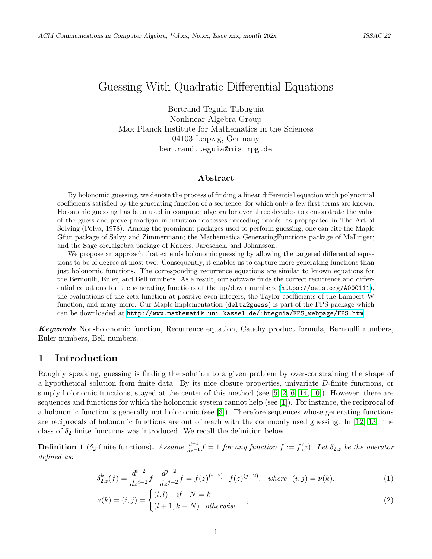# Guessing With Quadratic Differential Equations

Bertrand Teguia Tabuguia Nonlinear Algebra Group Max Planck Institute for Mathematics in the Sciences 04103 Leipzig, Germany bertrand.teguia@mis.mpg.de

#### Abstract

By holonomic guessing, we denote the process of finding a linear differential equation with polynomial coefficients satisfied by the generating function of a sequence, for which only a few first terms are known. Holonomic guessing has been used in computer algebra for over three decades to demonstrate the value of the guess-and-prove paradigm in intuition processes preceding proofs, as propagated in The Art of Solving (Polya, 1978). Among the prominent packages used to perform guessing, one can cite the Maple Gfun package of Salvy and Zimmermann; the Mathematica GeneratingFunctions package of Mallinger; and the Sage ore algebra package of Kauers, Jaroschek, and Johansson.

We propose an approach that extends holonomic guessing by allowing the targeted differential equations to be of degree at most two. Consequently, it enables us to capture more generating functions than just holonomic functions. The corresponding recurrence equations are similar to known equations for the Bernoulli, Euler, and Bell numbers. As a result, our software finds the correct recurrence and differential equations for the generating functions of the up/down numbers (<https://oeis.org/A000111>), the evaluations of the zeta function at positive even integers, the Taylor coefficients of the Lambert W function, and many more. Our Maple implementation (delta2guess) is part of the FPS package which can be downloaded at [http://www.mathematik.uni-kassel.de/~bteguia/FPS\\_webpage/FPS.htm](http://www.mathematik.uni-kassel.de/~bteguia/FPS_webpage/FPS.htm).

**Keywords** Non-holonomic function, Recurrence equation, Cauchy product formula, Bernoulli numbers, Euler numbers, Bell numbers.

# 1 Introduction

Roughly speaking, guessing is finding the solution to a given problem by over-constraining the shape of a hypothetical solution from finite data. By its nice closure properties, univariate D-finite functions, or simply holonomic functions, stayed at the center of this method (see  $[5, 2, 6, 14, 10]$  $[5, 2, 6, 14, 10]$  $[5, 2, 6, 14, 10]$  $[5, 2, 6, 14, 10]$  $[5, 2, 6, 14, 10]$ ). However, there are sequences and functions for which the holonomic system cannot help (see [\[1\]](#page-3-1)). For instance, the reciprocal of a holonomic function is generally not holonomic (see [\[3\]](#page-3-2)). Therefore sequences whose generating functions are reciprocals of holonomic functions are out of reach with the commonly used guessing. In [\[12,](#page-4-4) [13\]](#page-4-5), the class of  $\delta_2$ -finite functions was introduced. We recall the definition below.

<span id="page-0-0"></span>**Definition 1** ( $\delta_2$ -finite functions). Assume  $\frac{d^{-1}}{dz^{-1}}f = 1$  for any function  $f := f(z)$ . Let  $\delta_{2,z}$  be the operator defined as:

$$
\delta_{2,z}^k(f) = \frac{d^{i-2}}{dz^{i-2}} f \cdot \frac{d^{j-2}}{dz^{j-2}} f = f(z)^{(i-2)} \cdot f(z)^{(j-2)}, \text{ where } (i,j) = \nu(k). \tag{1}
$$

$$
\nu(k) = (i, j) = \begin{cases} (l, l) & \text{if } N = k \\ (l + 1, k - N) & \text{otherwise} \end{cases}
$$
\n
$$
(2)
$$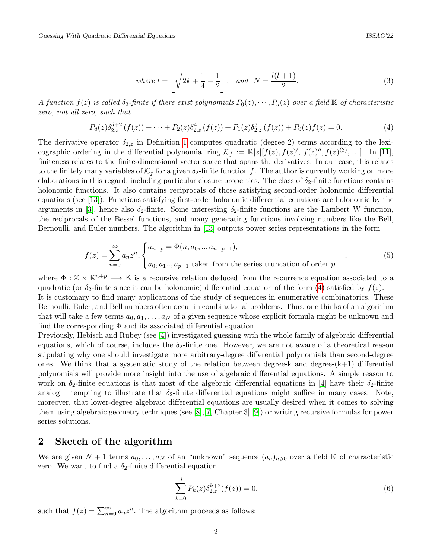where 
$$
l = \left\lfloor \sqrt{2k + \frac{1}{4}} - \frac{1}{2} \right\rfloor
$$
, and  $N = \frac{l(l+1)}{2}$ . (3)

A function  $f(z)$  is called  $\delta_2$ -finite if there exist polynomials  $P_0(z), \cdots, P_d(z)$  over a field K of characteristic zero, not all zero, such that

<span id="page-1-0"></span>
$$
P_d(z)\delta_{2,z}^{d+2}(f(z)) + \dots + P_2(z)\delta_{2,z}^4(f(z)) + P_1(z)\delta_{2,z}^3(f(z)) + P_0(z)f(z) = 0.
$$
 (4)

The derivative operator  $\delta_{2,z}$  in Definition [1](#page-0-0) computes quadratic (degree 2) terms according to the lexicographic ordering in the differential polynomial ring  $\mathcal{K}_f := \mathbb{K}[z][f(z), f(z)', f(z)'', f(z)^{(3)}, \ldots]$ . In [\[11\]](#page-4-6), finiteness relates to the finite-dimensional vector space that spans the derivatives. In our case, this relates to the finitely many variables of  $K_f$  for a given  $\delta_2$ -finite function f. The author is currently working on more elaborations in this regard, including particular closure properties. The class of  $\delta_2$ -finite functions contains holonomic functions. It also contains reciprocals of those satisfying second-order holonomic differential equations (see [\[13\]](#page-4-5)). Functions satisfying first-order holonomic differential equations are holonomic by the arguments in [\[3\]](#page-3-2), hence also  $\delta_2$ -finite. Some interesting  $\delta_2$ -finite functions are the Lambert W function, the reciprocals of the Bessel functions, and many generating functions involving numbers like the Bell, Bernoulli, and Euler numbers. The algorithm in [\[13\]](#page-4-5) outputs power series representations in the form

$$
f(z) = \sum_{n=0}^{\infty} a_n z^n, \begin{cases} a_{n+p} = \Phi(n, a_0, \dots, a_{n+p-1}), \\ a_0, a_1 \dots, a_{p-1} \text{ taken from the series truncation of order } p \end{cases}
$$
 (5)

where  $\Phi : \mathbb{Z} \times \mathbb{K}^{n+p} \longrightarrow \mathbb{K}$  is a recursive relation deduced from the recurrence equation associated to a quadratic (or  $\delta_2$ -finite since it can be holonomic) differential equation of the form [\(4\)](#page-1-0) satisfied by  $f(z)$ . It is customary to find many applications of the study of sequences in enumerative combinatorics. These Bernoulli, Euler, and Bell numbers often occur in combinatorial problems. Thus, one thinks of an algorithm that will take a few terms  $a_0, a_1, \ldots, a_N$  of a given sequence whose explicit formula might be unknown and find the corresponding  $\Phi$  and its associated differential equation.

Previously, Hebisch and Rubey (see [\[4\]](#page-4-7)) investigated guessing with the whole family of algebraic differential equations, which of course, includes the  $\delta_2$ -finite one. However, we are not aware of a theoretical reason stipulating why one should investigate more arbitrary-degree differential polynomials than second-degree ones. We think that a systematic study of the relation between degree-k and degree- $(k+1)$  differential polynomials will provide more insight into the use of algebraic differential equations. A simple reason to work on  $\delta_2$ -finite equations is that most of the algebraic differential equations in [\[4\]](#page-4-7) have their  $\delta_2$ -finite analog – tempting to illustrate that  $\delta_2$ -finite differential equations might suffice in many cases. Note, moreover, that lower-degree algebraic differential equations are usually desired when it comes to solving them using algebraic geometry techniques (see [\[8\]](#page-4-8),[\[7,](#page-4-9) Chapter 3],[\[9\]](#page-4-10)) or writing recursive formulas for power series solutions.

### 2 Sketch of the algorithm

We are given  $N+1$  terms  $a_0, \ldots, a_N$  of an "unknown" sequence  $(a_n)_{n\geqslant 0}$  over a field K of characteristic zero. We want to find a  $\delta_2$ -finite differential equation

$$
\sum_{k=0}^{d} P_k(z) \delta_{2,z}^{k+2}(f(z)) = 0,
$$
\n(6)

such that  $f(z) = \sum_{n=0}^{\infty} a_n z^n$ . The algorithm proceeds as follows: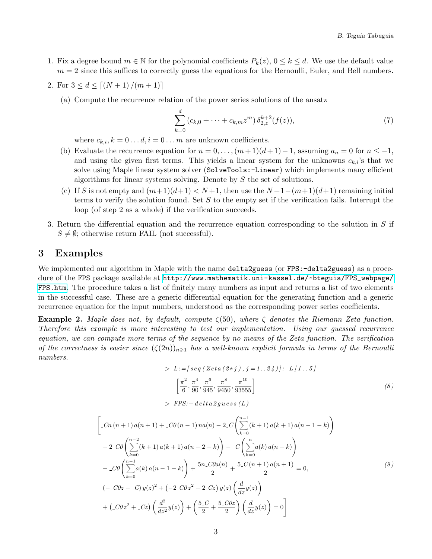1. Fix a degree bound  $m \in \mathbb{N}$  for the polynomial coefficients  $P_k(z)$ ,  $0 \le k \le d$ . We use the default value  $m = 2$  since this suffices to correctly guess the equations for the Bernoulli, Euler, and Bell numbers.

2. For 
$$
3 \leq d \leq \lceil (N+1)/(m+1) \rceil
$$

(a) Compute the recurrence relation of the power series solutions of the ansatz

$$
\sum_{k=0}^{d} (c_{k,0} + \dots + c_{k,m} z^m) \, \delta_{2,z}^{k+2}(f(z)),\tag{7}
$$

where  $c_{k,i}, k = 0...d, i = 0...m$  are unknown coefficients.

- (b) Evaluate the recurrence equation for  $n = 0, \ldots, (m+1)(d+1)-1$ , assuming  $a_n = 0$  for  $n \leq -1$ , and using the given first terms. This yields a linear system for the unknowns  $c_{k,i}$ 's that we solve using Maple linear system solver (SolveTools:-Linear) which implements many efficient algorithms for linear systems solving. Denote by S the set of solutions.
- (c) If S is not empty and  $(m+1)(d+1) < N+1$ , then use the  $N+1-(m+1)(d+1)$  remaining initial terms to verify the solution found. Set S to the empty set if the verification fails. Interrupt the loop (of step 2 as a whole) if the verification succeeds.
- 3. Return the differential equation and the recurrence equation corresponding to the solution in S if  $S \neq \emptyset$ ; otherwise return FAIL (not successful).

## 3 Examples

We implemented our algorithm in Maple with the name delta2guess (or FPS:-delta2guess) as a procedure of the FPS package available at [http://www.mathematik.uni-kassel.de/~bteguia/FPS\\_webpage/](http://www.mathematik.uni-kassel.de/~bteguia/FPS_webpage/FPS.htm) [FPS.htm](http://www.mathematik.uni-kassel.de/~bteguia/FPS_webpage/FPS.htm). The procedure takes a list of finitely many numbers as input and returns a list of two elements in the successful case. These are a generic differential equation for the generating function and a generic recurrence equation for the input numbers, understood as the corresponding power series coefficients.

**Example 2.** Maple does not, by default, compute  $\zeta(50)$ , where  $\zeta$  denotes the Riemann Zeta function. Therefore this example is more interesting to test our implementation. Using our guessed recurrence equation, we can compute more terms of the sequence by no means of the Zeta function. The verification of the correctness is easier since  $(\zeta(2n))_{n\geq 1}$  has a well-known explicit formula in terms of the Bernoulli numbers.

> 
$$
L := [seq (Zeta (2 * j), j = 1..24)]
$$
:  $L[1..5]$   
\n
$$
\left[\frac{\pi^2}{6}, \frac{\pi^4}{90}, \frac{\pi^6}{945}, \frac{\pi^8}{9450}, \frac{\pi^{10}}{93555}\right]
$$
\n
$$
FPS: -delta \, dt \, a \, g \, u \, e s \, (L)
$$
\n(8)

$$
\begin{aligned}\n&\left[ \begin{array}{l} -\mathcal{C}n\left(n+1\right)a(n+1) + \mathcal{C}0\left(n-1\right)na(n) - 2\mathcal{L}\left(\sum_{k=0}^{n-1}\left(k+1\right)a(k+1)\,a(n-1-k)\right) \right. \\
&\left. -2\mathcal{C}0\left(\sum_{k=0}^{n-2}\left(k+1\right)a(k+1)\,a(n-2-k)\right) - \mathcal{C}\left(\sum_{k=0}^{n}\!a(k)\,a(n-k)\right) \right. \\
&\left. -\mathcal{C}0\left(\sum_{k=0}^{n-1}\!a(k)\,a(n-1-k)\right) + \frac{5n\mathcal{C}0a(n)}{2} + \frac{5\mathcal{C}(n+1)\,a(n+1)}{2} = 0, \\
&\left(-\mathcal{C}0z - \mathcal{C}\right)y(z)^2 + \left(-2\mathcal{C}0z^2 - 2\mathcal{C}z\right)y(z)\left(\frac{d}{dz}y(z)\right) \\
&+ \left(\mathcal{C}0z^2 + \mathcal{C}z\right)\left(\frac{d^2}{dz^2}y(z)\right) + \left(\frac{5\mathcal{C}}{2} + \frac{5\mathcal{C}0z}{2}\right)\left(\frac{d}{dz}y(z)\right) = 0\n\end{array}\n\end{aligned} \tag{9}
$$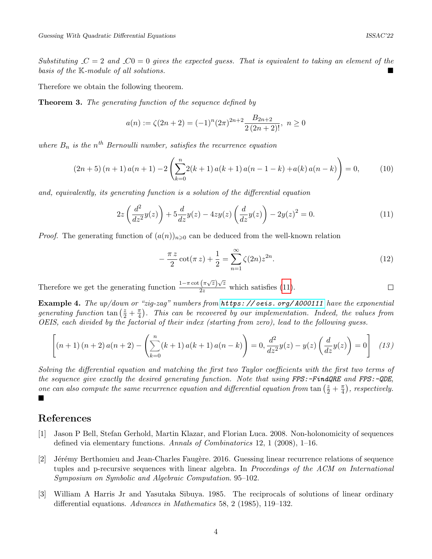Substituting  $C = 2$  and  $C = 0$  gives the expected guess. That is equivalent to taking an element of the basis of the K-module of all solutions.

Therefore we obtain the following theorem.

**Theorem 3.** The generating function of the sequence defined by

$$
a(n) := \zeta(2n+2) = (-1)^n (2\pi)^{2n+2} \frac{B_{2n+2}}{2(2n+2)!}, \ n \ge 0
$$

where  $B_n$  is the n<sup>th</sup> Bernoulli number, satisfies the recurrence equation

$$
(2n+5)(n+1)a(n+1)-2\left(\sum_{k=0}^{n}2(k+1)a(k+1)a(n-1-k)+a(k)a(n-k)\right)=0,
$$
 (10)

and, equivalently, its generating function is a solution of the differential equation

<span id="page-3-3"></span>
$$
2z\left(\frac{d^2}{dz^2}y(z)\right) + 5\frac{d}{dz}y(z) - 4zy(z)\left(\frac{d}{dz}y(z)\right) - 2y(z)^2 = 0.
$$
 (11)

*Proof.* The generating function of  $(a(n))_{n\geq 0}$  can be deduced from the well-known relation

$$
-\frac{\pi z}{2}\cot(\pi z) + \frac{1}{2} = \sum_{n=1}^{\infty} \zeta(2n)z^{2n}.
$$
 (12)

Therefore we get the generating function  $\frac{1-\pi \cot(\pi \sqrt{z})\sqrt{z}}{2z}$  which satisfies [\(11\)](#page-3-3).  $\Box$ 

Example 4. The up/down or "zig-zag" numbers from https://oeis.org/A000111 have the exponential generating function  $\tan\left(\frac{z}{2} + \frac{\pi}{4}\right)$  $\frac{\pi}{4}$ ). This can be recovered by our implementation. Indeed, the values from OEIS, each divided by the factorial of their index (starting from zero), lead to the following guess.

$$
\left[ (n+1)(n+2) a(n+2) - \left( \sum_{k=0}^{n} (k+1) a(k+1) a(n-k) \right) = 0, \frac{d^2}{dz^2} y(z) - y(z) \left( \frac{d}{dz} y(z) \right) = 0 \right]
$$
 (13)

Solving the differential equation and matching the first two Taylor coefficients with the first two terms of the sequence give exactly the desired generating function. Note that using FPS:-FindQRE and FPS:-QDE, one can also compute the same recurrence equation and differential equation from tan  $(\frac{z}{2} + \frac{\pi}{4})$  $(\frac{\pi}{4})$ , respectively. ■

# References

- <span id="page-3-1"></span>[1] Jason P Bell, Stefan Gerhold, Martin Klazar, and Florian Luca. 2008. Non-holonomicity of sequences defined via elementary functions. Annals of Combinatorics 12, 1 (2008), 1–16.
- <span id="page-3-0"></span>[2] Jérémy Berthomieu and Jean-Charles Faugère. 2016. Guessing linear recurrence relations of sequence tuples and p-recursive sequences with linear algebra. In Proceedings of the ACM on International Symposium on Symbolic and Algebraic Computation. 95–102.
- <span id="page-3-2"></span>[3] William A Harris Jr and Yasutaka Sibuya. 1985. The reciprocals of solutions of linear ordinary differential equations. Advances in Mathematics 58, 2 (1985), 119–132.